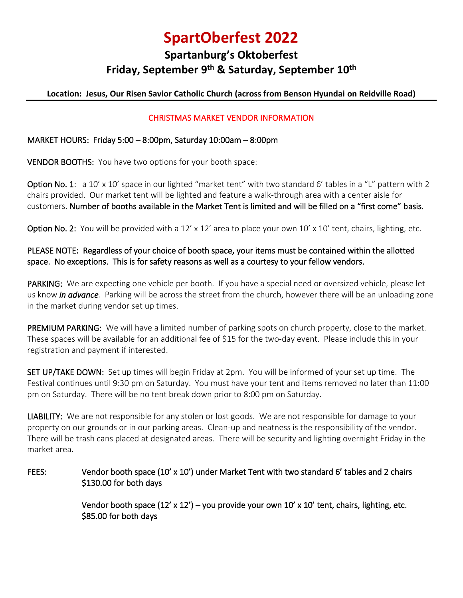# **SpartOberfest 2022**

# **Spartanburg's Oktoberfest Friday, September 9 th & Saturday, September 10 th**

### **Location: Jesus, Our Risen Savior Catholic Church (across from Benson Hyundai on Reidville Road)**

#### CHRISTMAS MARKET VENDOR INFORMATION

#### MARKET HOURS: Friday 5:00 – 8:00pm, Saturday 10:00am – 8:00pm

VENDOR BOOTHS: You have two options for your booth space:

Option No. 1: a 10' x 10' space in our lighted "market tent" with two standard 6' tables in a "L" pattern with 2 chairs provided. Our market tent will be lighted and feature a walk-through area with a center aisle for customers. Number of booths available in the Market Tent is limited and will be filled on a "first come" basis.

Option No. 2: You will be provided with a 12' x 12' area to place your own 10' x 10' tent, chairs, lighting, etc.

### PLEASE NOTE: Regardless of your choice of booth space, your items must be contained within the allotted space. No exceptions. This is for safety reasons as well as a courtesy to your fellow vendors.

PARKING: We are expecting one vehicle per booth. If you have a special need or oversized vehicle, please let us know *in advance.* Parking will be across the street from the church, however there will be an unloading zone in the market during vendor set up times.

PREMIUM PARKING: We will have a limited number of parking spots on church property, close to the market. These spaces will be available for an additional fee of \$15 for the two-day event. Please include this in your registration and payment if interested.

SET UP/TAKE DOWN: Set up times will begin Friday at 2pm. You will be informed of your set up time. The Festival continues until 9:30 pm on Saturday. You must have your tent and items removed no later than 11:00 pm on Saturday. There will be no tent break down prior to 8:00 pm on Saturday.

LIABILITY: We are not responsible for any stolen or lost goods. We are not responsible for damage to your property on our grounds or in our parking areas. Clean-up and neatness is the responsibility of the vendor. There will be trash cans placed at designated areas. There will be security and lighting overnight Friday in the market area.

#### FEES: Vendor booth space (10' x 10') under Market Tent with two standard 6' tables and 2 chairs \$130.00 for both days

Vendor booth space  $(12' \times 12') -$ you provide your own 10' x 10' tent, chairs, lighting, etc. \$85.00 for both days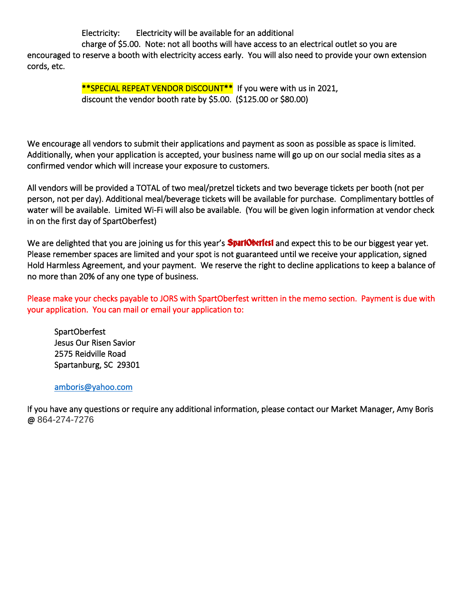Electricity: Electricity will be available for an additional

 charge of \$5.00. Note: not all booths will have access to an electrical outlet so you are encouraged to reserve a booth with electricity access early. You will also need to provide your own extension cords, etc.

> \*\*SPECIAL REPEAT VENDOR DISCOUNT<sup>\*\*</sup> If you were with us in 2021, discount the vendor booth rate by \$5.00. (\$125.00 or \$80.00)

We encourage all vendors to submit their applications and payment as soon as possible as space is limited. Additionally, when your application is accepted, your business name will go up on our social media sites as a confirmed vendor which will increase your exposure to customers.

All vendors will be provided a TOTAL of two meal/pretzel tickets and two beverage tickets per booth (not per person, not per day). Additional meal/beverage tickets will be available for purchase. Complimentary bottles of water will be available. Limited Wi-Fi will also be available. (You will be given login information at vendor check in on the first day of SpartOberfest)

We are delighted that you are joining us for this year's **SpariOberfest** and expect this to be our biggest year yet. Please remember spaces are limited and your spot is not guaranteed until we receive your application, signed Hold Harmless Agreement, and your payment. We reserve the right to decline applications to keep a balance of no more than 20% of any one type of business.

Please make your checks payable to JORS with SpartOberfest written in the memo section. Payment is due with your application. You can mail or email your application to:

 SpartOberfest Jesus Our Risen Savior 2575 Reidville Road Spartanburg, SC 29301

#### [amboris@yahoo.com](mailto:amboris@yahoo.com)

If you have any questions or require any additional information, please contact our Market Manager, Amy Boris @ 864-274-7276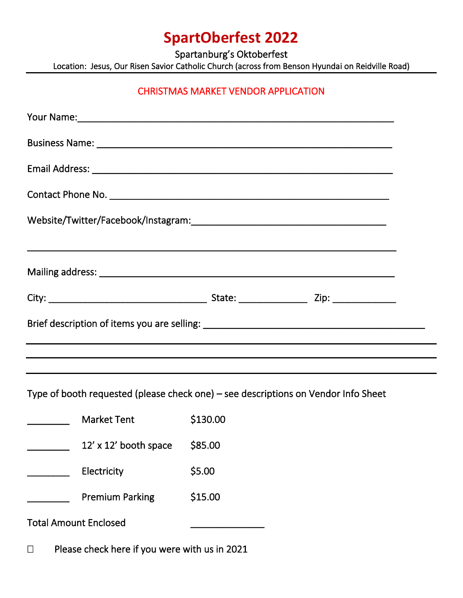# **SpartOberfest 2022**

Spartanburg's Oktoberfest

Location: Jesus, Our Risen Savior Catholic Church (across from Benson Hyundai on Reidville Road)

## CHRISTMAS MARKET VENDOR APPLICATION

Type of booth requested (please check one) – see descriptions on Vendor Info Sheet

|                              | <b>Market Tent</b>     | \$130.00 |
|------------------------------|------------------------|----------|
|                              | 12' x 12' booth space  | \$85.00  |
|                              | Electricity            | \$5.00   |
|                              | <b>Premium Parking</b> | \$15.00  |
| <b>Total Amount Enclosed</b> |                        |          |

 $\Box$  Please check here if you were with us in 2021